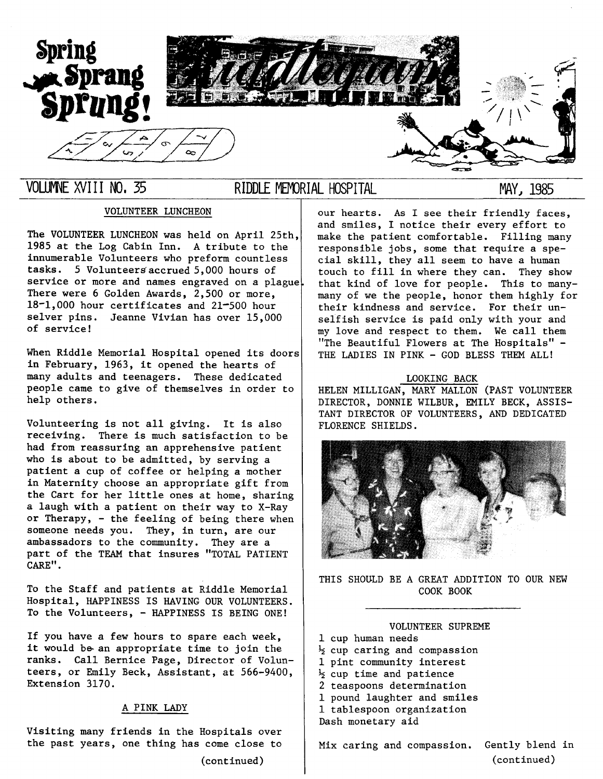

## VOLUMNE XVIII NO, 35 RIDDLE MEMORIAL HOSPITAL

MAY, 1985

### VOLUNTEER LUNCHEON

The VOLUNTEER LUNCHEON was held on April 25th, 1985 at the Log Cabin Inn. A tribute to the innumerable Volunteers who preform countless tasks. 5 Volunteers accrued 5,000 hours of service or more and names engraved on a plague. There were 6 Golden Awards, 2,500 or more, 18-1,000 hour certificates and 21-500 hour selver pins. Jeanne Vivian has over 15,000 of service!

When Riddle Memorial Hospital opened its doors in February, 1963, it opened the hearts of many adults and teenagers. These dedicated people came to give of themselves in order to help others.

Volunteering is not all giving. It is also receiving. There is much satisfaction to be had from reassuring an apprehensive patient who is about to be admitted, by serving a patient a cup of coffee or helping a mother in Maternity choose an appropriate gift from the Cart for her little ones at home, sharing a laugh with a patient on their way to X-Ray or Therapy, - the feeling of being there when someone needs you. They, in turn, are our ambassadors to the community. They are a part of the TEAM that insures "TOTAL PATIENT CARE".

To the Staff and patients at Riddle Memorial Hospital, HAPPINESS IS HAVING OUR VOLUNTEERS. To the Volunteers, - HAPPINESS IS BEING ONE!

If you have a few hours to spare each week, it would be an appropriate time to join the ranks. Call Bernice Page, Director of Volunteers, or Emily Beck, Assistant, at 566-9400, Extension 3170.

#### A PINK LADY

Visiting many friends in the Hospitals over the past years, one thing has come close to

(continued)

our hearts. As I see their friendly faces, and smiles, I notice their every effort to make the patient comfortable. Filling many responsible jobs, some that require a special skill, they all seem to have a human<br>touch to fill in where they can. They show touch to fill in where they can. that kind of love for people. This to manymany of we the people, honor them highly for their kindness and service. For their unselfish service is paid only with your and my love and respect to them. We call them "The Beautiful Flowers at The Hospitals" - THE LADIES IN PINK - GOD BLESS THEM ALL!

#### LOOKING BACK

HELEN MILLIGAN, MARY MALLON (PAST VOLUNTEER DIRECTOR, DONNIE WILBUR, EMILY BECK, ASSIS-TANT DIRECTOR OF VOLUNTEERS, AND DEDICATED FLORENCE SHIELDS.



THIS SHOULD BE A GREAT ADDITION TO OUR NEW COOK BOOK

#### VOLUNTEER SUPREME

- 1 cup human needs
- *½* cup caring and compassion
- 1 pint community interest
- *½* cup time and patience
- 2 teaspoons determination
- 1 pound laughter and smiles
- 1 tablespoon organization
- Dash monetary aid

Mix caring and compassion. Gently blend in

(continued)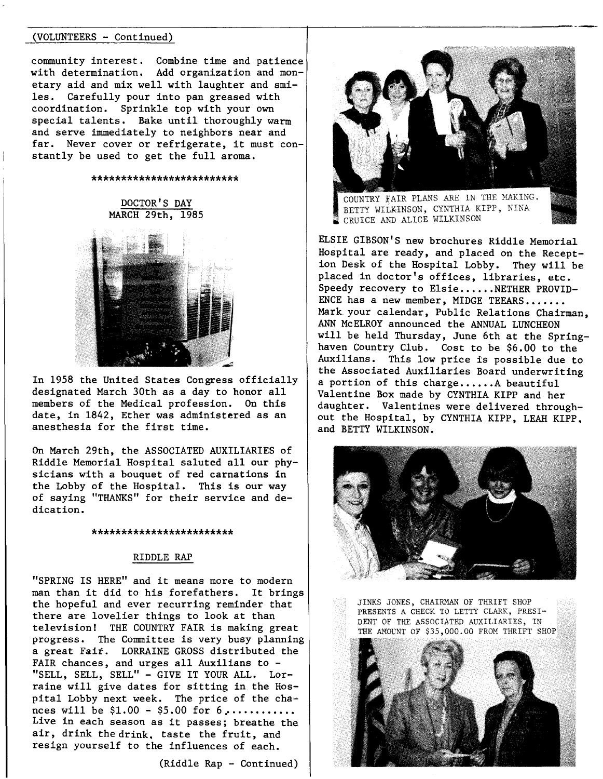#### (VOLUNTEERS - Continued)

community interest. Combine time and patience with determination. Add organization and monetary aid and mix well with laughter and smiles. Carefully pour into pan greased with coordination. Sprinkle top with your own special talents. Bake until thoroughly warm and serve immediately to neighbors near and far. Never cover or refrigerate, it must constantly be used to get the full aroma.

#### \*\*\*\*\*\*\*\*\*\*\*\*\*\*\*\*\*\*\*\*\*\*\*

DOCTOR'S DAY MARCH 29th, 1985



In 1958 the United States Congress officially designated March 30th as a day to honor all members of the Medical profession. On this date, in 1842, Ether was administered as an anesthesia for the first time.

On March 29th, the ASSOCIATED AUXILIARIES of Riddle Memorial Hospital saluted all our physicians with a bouquet of red carnations in the Lobby of the Hospital. This is our way of saying "THANKS" for their service and dedication.

#### \*\*\*\*\*\*\*\*\*\*\*\*\*\*\*\*\*\*\*\*\*

#### RIDDLE RAP

"SPRING IS HERE" and it means more to modern man than it did to his forefathers. It brings the hopeful and ever recurring reminder that there are lovelier things to look at than television! THE COUNTRY FAIR is making great progress. The Committee is very busy planning a great Fait. LORRAINE GROSS distributed the FAIR chances, and urges all Auxilians to -"SELL, SELL, SELL" - GIVE IT YOUR ALL. Lorraine will give dates for sitting in the Hospital Lobby next week. The price of the chances will be  $$1.00 - $5.00$  for  $6$ ........... Live in each season as it passes; breathe the air, drink the drink. taste the fruit, and resign yourself to the influences of each.

(Riddle Rap - Continued)



COUNTRY FAIR PLANS ARE IN THE MAKING. BETTY WILKINSON, CYNTHIA KIPP, NINA CRUICE AND ALICE WILKINSON

ELSIE GIBSON'S new brochures Riddle Memorial Hospital are ready, and placed on the Reception Desk of the Hospital Lobby. They will be placed in doctor's offices, libraries, etc. Speedy recovery to Elsie......NETHER PROVID-ENCE has a new member, MIDGE TEEARS....... Mark your calendar, Public Relations Chairman, ANN McELROY announced the ANNUAL LUNCHEON will be held Thursday, June 6th at the Springhaven Country Club. Cost to be \$6.00 to the Auxilians. This low price is possible due to the Associated Auxiliaries Board underwriting a portion of this charge...... A beautiful Valentine Box made by CYNTHIA KIPP and her daughter. Valentines were delivered throughout the Hospital, by CYNTHIA KIPP, LEAH KIPP. and BETTY WILKINSON.



JINKS JONES, CHAIRMAN OF THRIFT SHOP PRESENTS A CHECK TO LETTY CLARK, PRESI-DENT OF THE ASSOCIATED AUXILIARIES, IN THE AMOUNT OF \$35,000.00 FROM THRIFT SHOP

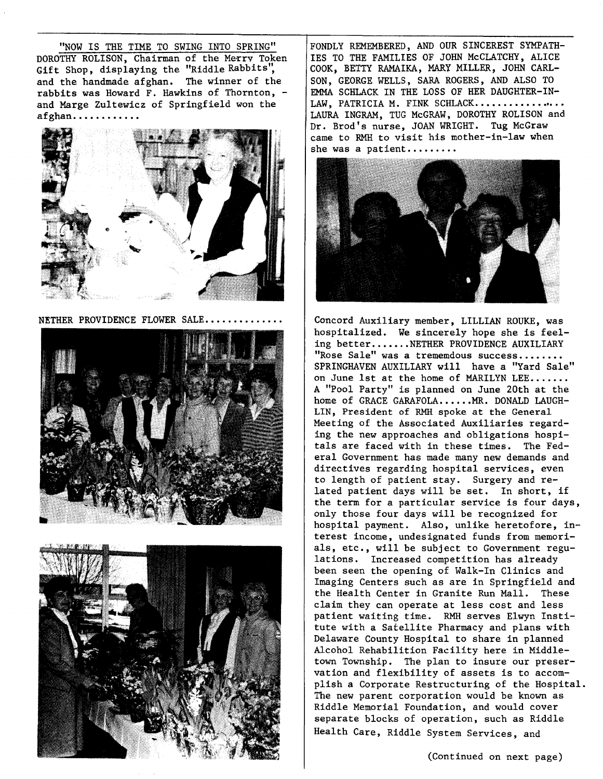"NOW IS THE TIME TO SWING INTO SPRING" DOROTHY ROLISON, Chairman of the Merry Token Gift Shop, displaying the "Riddle Rabbits", and the handmade afghan. The winner of the rabbits was Howard F. Hawkins of Thornton, and Marge Zultewicz of Springfield won the **afghan .** .......... .



NETHER PROVIDENCE FLOWER SALE........





FONDLY REMEMBERED, AND OUR SINCEREST SYMPATH-IES TO THE FAMILIES OF JOHN McCLATCHY, ALICE COOK, BETTY RAMAIKA, MARY MILLER, JOHN CARL-SON, GEORGE WELLS, SARA ROGERS, AND ALSO TO EMMA SCHLACK IN THE LOSS OF HER DAUGHTER-IN-LAW, PATRICIA M. FINK SCHLACK................. LAURA INGRAM, TUG McGRAW, DOROTHY ROLISON and Dr. Brod's nurse, JOAN WRIGHT. Tug McGraw came to RMH to visit his mother-in-law when she was a patient.........



Concord Auxiliary member, LILLIAN ROUKE, was hospitalized. We sincerely hope she is feeling better.......NETHER PROVIDENCE AUXILIARY "Rose Sale" was a trememdous success........ SPRINGHAVEN AUXILIARY will have a "Yard Sale" on June 1st at the home of MARILYN LEE....... A "Pool Party" is planned on June 20th at the home of GRACE GARAFOLA......MR. DONALD LAUGH-LIN, President of RMH spoke at the General Meeting of the Associated Auxiliaries regarding the new approaches and obligations hospitals are faced with in these times. The Federal Government has made many new demands and directives regarding hospital services, even to length of patient stay. Surgery and related patient days will be set. In short, if the term for a particular service is four days, only those four days will be recognized for hospital payment. Also, unlike heretofore, interest income, undesignated funds from memorials, etc., will be subject to Government regulations. Increased competition has already been seen the opening of Walk-In Clinics and Imaging Centers such as are in Springfield and the Health Center in Granite Run Mall. These claim they can operate at less cost and less patient waiting time. RMH serves Elwyn Institute with a Satellite Pharmacy and plans with Delaware County Hospital to share in planned Alcohol Rehabilition Facility here in Middletown Township. The plan to insure our preservation and flexibility of assets is to accomplish a Corporate Restructuring of the Hospital. The new parent corporation would be known as Riddle Memorial Foundation, and would cover separate blocks of operation, such as Riddle Health Care, Riddle System Services, and

(Continued on next page)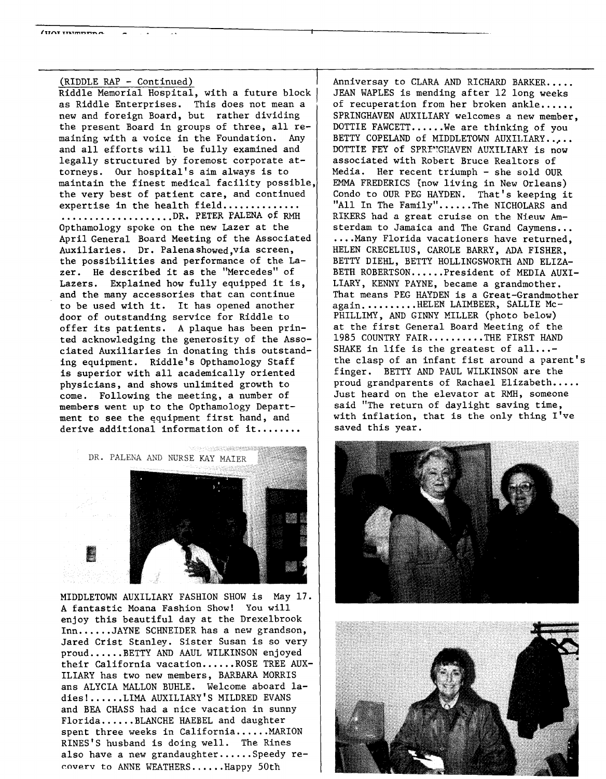(RIDDLE RAP - Continued) Riddle Memorial Hospital, with a future block as Riddle Enterprises. This does not mean a new and foreign Board, but rather dividing the present Board in groups of three, all remaining with a voice in the Foundation. Any and all efforts will be fully examined and legally structured by foremost corporate attorneys. Our hospital's aim always is to maintain the finest medical facility possible, the very best of patient care, and continued expertise in the health field.............. ..................DR. PETER PALENA of RMH Opthamology spoke on the new Lazer at the April General Board Meeting of the Associated Auxiliaries. Dr. Palenashowed,via screen, the possibilities and performance of the Lazer. He described it as the "Mercedes" of Lazers. Explained how fully equipped it is, and the many accessories that can continue to be used with it. It has opened another door of outstanding service for Riddle to offer its patients. A plaque has been printed acknowledging the generosity of the Associated Auxiliaries in donating this outstanding equipment. Riddle's Opthamology Staff is superior with all academically oriented physicians, and shows unlimited growth to come. Following the meeting, a number of members went up to the Opthamology Department to see the equipment first hand, and derive additional information of it........

A PERSON CONTRACTOR DR. PALENA AND NURSE KAY MAIER

MIDDLETOWN AUXILIARY FASHION SHOW is May 17. A fantastic Moana Fashion Show! You will enjoy this beautiful day at the Drexelbrook Inn......JAYNE SCHNEIDER has a new grandson, Jared Crist Stanley. Sister Susan is so very proud .•.... BETTY AND AAUL WILKINSON enjoyed their California vacation...... ROSE TREE AUX-ILIARY has two new members, BARBARA MORRIS ans ALYCIA MALLON BURLE. Welcome aboard ladies! ...•.• LIMA AUXILIARY'S MILDRED EVANS and BEA CHASS had a nice vacation in sunny Florida......BLANCHE HAEBEL and daughter spent three weeks in California......MARION RINES'S husband is doing well. The Rines also have a new grandaughter......Speedy re-~overv to ANNE WEATHERS ...... Happy 50th

Anniversay to CLARA AND RICHARD BARKER..... JEAN WAPLES is mending after 12 long weeks of recuperation from her broken ankle...... SPRINGHAVEN AUXILIARY welcomes a new member, DOTTIE FAWCETT......We are thinking of you BETTY COPELAND of MIDDLETOWN AUXILIARY..... DOTTIE FEY of SPRINGHAVEN AUXILIARY is now associated with Robert Bruce Realtors of Media. Her recent triumph - she sold OUR EMMA FREDERICS (now living in New Orleans) Condo to OUR PEG HAYDEN. That's keeping it "All In The Family"......The NICHOLARS and RIKERS had a great cruise on the Nieuw Amsterdam to Jamaica and The Grand Caymens... .... Many Florida vacationers have returned, HELEN CRECELIUS, CAROLE BARRY, ADA FISHER, BETTY DIEHL, BETTY HOLLINGSWORTH AND ELIZA-BETH ROBERTSON......President of MEDIA AUXI-LIARY, KENNY PAYNE, became a grandmother. That means PEG HAYDEN is a Great-Grandmother again..........HELEN LAIMBEER, SALLIE Mc-PHILLIMY, AND GINNY MILLER (photo below) at the first General Board Meeting of the 1985 COUNTRY FAIR........THE FIRST HAND SHAKE in life is the greatest of  $all...$ the clasp of an infant fist around a parent's finger. BETTY AND PAUL WILKINSON are the proud grandparents of Rachael Elizabeth..... Just heard on the elevator at RMH, someone said "The return of daylight saving time, with inflation, that is the only thing I've saved this year.



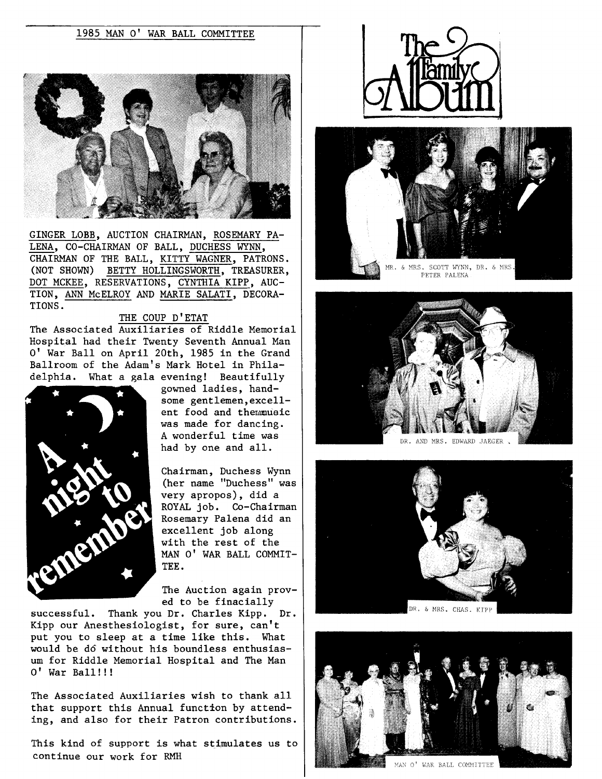

GINGER LOBB, AUCTION CHAIRMAN, ROSEMARY PA-LENA, CO-CHAIRMAN OF BALL, DUCHESS WYNN, CHAIRMAN OF THE BALL, KITTY WAGNER, PATRONS. (NOT SHOWN) BETTY HOLLINGSWORTH, TREASURER, DOT MCKEE, RESERVATIONS, CYNTHIA KIPP, AUC-TION, ANN McELROY AND MARIE SALATI, DECORA-TIONS.

#### THE COUP D'ETAT

The Associated Auxiliaries of Riddle Memorial Hospital had their Twenty Seventh Annual Man O' War Ball on April 20th, 1985 in the Grand Ballroom of the Adam's Mark Hotel in Philadelphia. What a gala evening! Beautifully



gowned ladies, handsome gentlemen,excellent food and themmusic was made for dancing. A wonderful time was had by one and all.

Chairman, Duchess Wynn (her name "Duchess" was very apropos), did a ROYAL job. Co-Chairman Rosemary Palena did an excellent job along with the rest of the MAN O' WAR BALL COMMIT-TEE.

The Auction again proved to be finacially

successful. Thank you Dr. Charles Kipp. Dr. Kipp our Anesthesiologist, for sure, can't put you to sleep at a time like this. What would be d6 without his boundless enthusiasum for Riddle Memorial Hospital and The Man O' War Ball!!!

The Associated Auxiliaries wish to thank all that support this Annual function by attending, and also for their Patron contributions.

This kind of support is what stimulates us to continue our work for RMH











DR. & MRS. CHAS. KIPP



MAN O' WAR BALL COMMITTEE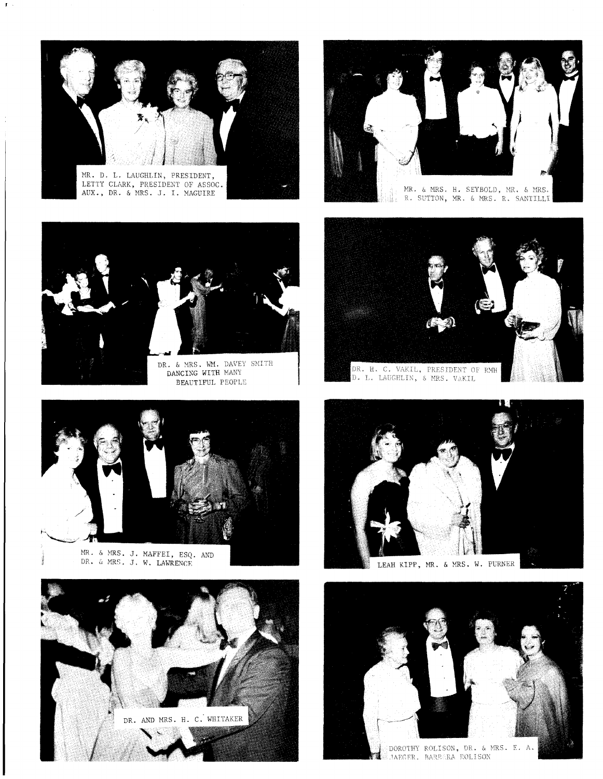

LETTY CLARK, PRESIDENT OF ASSOC. AUX., DR. & MRS. J. I. MAGUIRE

 $\mathbf{J} \rightarrow$ 



DR. & MRS. WM. DAVEY<br>DANCING WITH MANY BEAUTIFUL PEOPLE



MR. & MRS. J.<br>DR. & MRS. J.





mk. & MRS. H. SEYBOLD, MR. & MRS.<br>R. SUTTON, MR. & MRS. R. SANTILLI uli.



]). L. LACGELI:,, *i,* i,:ps, v .. KIL



DOROTHY ROLISON, DR. & MRS. E. A. **LIAEGER. BAREARA ROLISON** 

14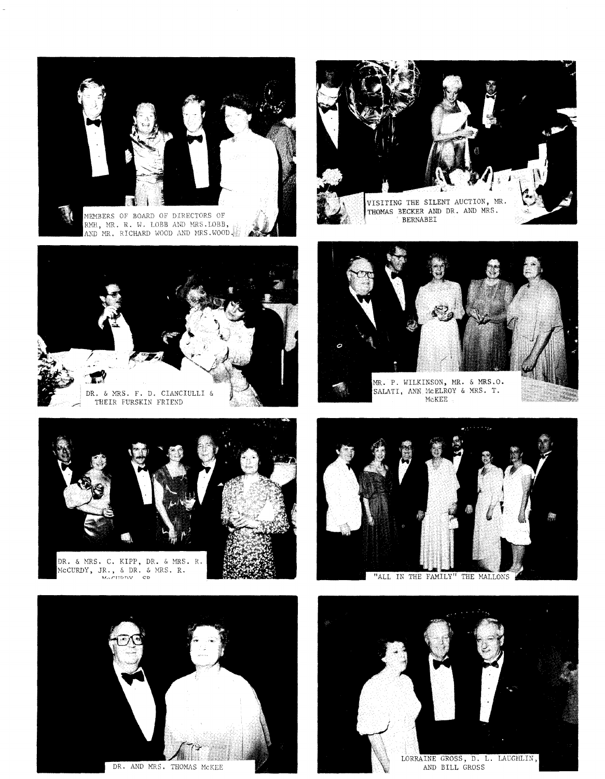

MEMBERS OF BOARD OF DIRECTORS OF RMH, MR. R. W. LOBB AND MRS.LOBB, AND MR. RICHARD WOOD AND MRS. WOOD.



BECKER AND DR. AND MRS. BERNABEI



THEIR FURSKIN FRIEND





DR. & MRS. C. KIPP, DR. & MRS. R.<br>MCCURDY, JR., & DR. & MRS. R.<br>MCCURDY CP



DR. AND MRS. THOMAS MCKEE



"ALL IN THE FAMILY" THE MALLONS